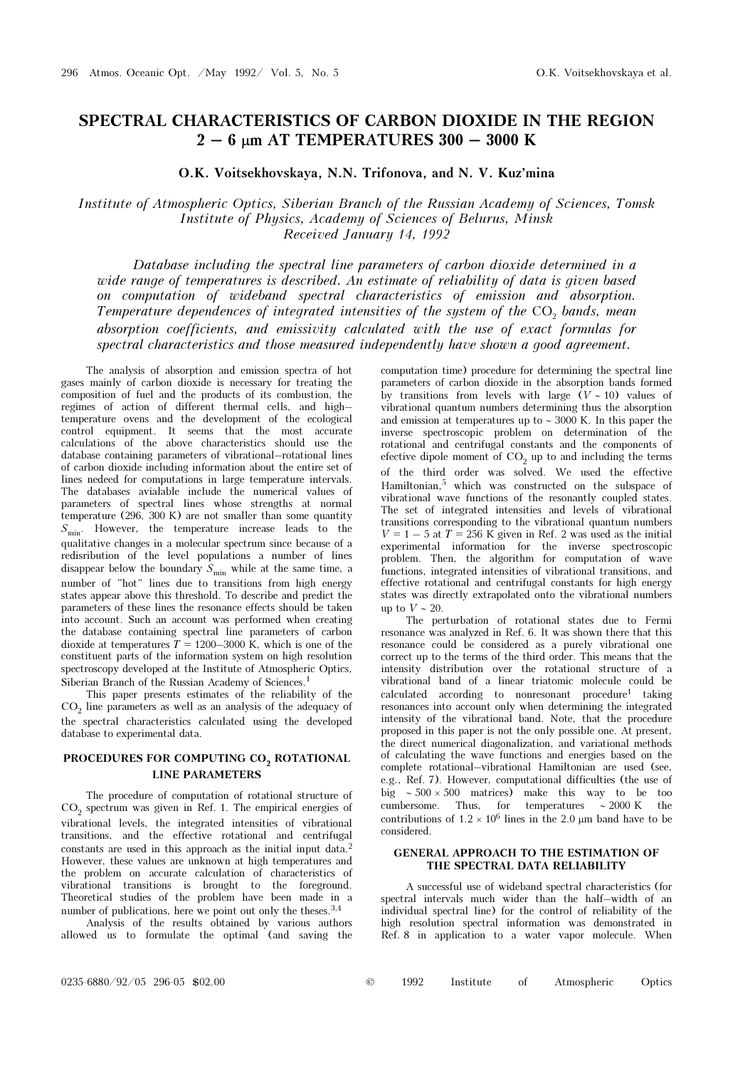# SPECTRAL CHARACTERISTICS OF CARBON DIOXIDE IN THE REGION  $2 - 6$   $\mu$ m AT TEMPERATURES 300 - 3000 K

O.K. Voitsekhovskaya, N.N. Trifonova, and N. V. Kuz'mina

## Institute of Atmospheric Optics, Siberian Branch of the Russian Academy of Sciences, Tomsk Institute of Physics, Academy of Sciences of Belurus, Minsk Received January 14, 1992

Database including the spectral line parameters of carbon dioxide determined in a wide range of temperatures is described. An estimate of reliability of data is given based on computation of wideband spectral characteristics of emission and absorption. Temperature dependences of integrated intensities of the system of the CO<sub>2</sub> bands, mean absorption coefficients, and emissivity calculated with the use of exact formulas for spectral characteristics and those measured independently have shown a good agreement.

The analysis of absorption and emission spectra of hot gases mainly of carbon dioxide is necessary for treating the composition of fuel and the products of its combustion, the regimes of action of different thermal cells, and high– temperature ovens and the development of the ecological control equipment. It seems that the most accurate calculations of the above characteristics should use the database containing parameters of vibrational–rotational lines of carbon dioxide including information about the entire set of lines nedeed for computations in large temperature intervals. The databases avialable include the numerical values of parameters of spectral lines whose strengths at normal temperature (296, 300 K) are not smaller than some quantity  $S_{\text{min}}$ . However, the temperature increase leads to the qualitative changes in a molecular spectrum since because of a redisribution of the level populations a number of lines disappear below the boundary  $S_{\text{min}}$  while at the same time, a number of "hot" lines due to transitions from high energy states appear above this threshold. To describe and predict the parameters of these lines the resonance effects should be taken into account. Such an account was performed when creating the database containing spectral line parameters of carbon dioxide at temperatures  $T = 1200-3000$  K, which is one of the constituent parts of the information system on high resolution spectroscopy developed at the Institute of Atmospheric Optics, Siberian Branch of the Russian Academy of Sciences.<sup>1</sup>

This paper presents estimates of the reliability of the  $CO<sub>2</sub>$  line parameters as well as an analysis of the adequacy of the spectral characteristics calculated using the developed database to experimental data.

## PROCEDURES FOR COMPUTING CO<sub>2</sub> ROTATIONAL LINE PARAMETERS

The procedure of computation of rotational structure of  $CO<sub>2</sub>$  spectrum was given in Ref. 1. The empirical energies of vibrational levels, the integrated intensities of vibrational transitions, and the effective rotational and centrifugal constants are used in this approach as the initial input data.<sup>2</sup> However, these values are unknown at high temperatures and the problem on accurate calculation of characteristics of vibrational transitions is brought to the foreground. Theoretical studies of the problem have been made in a number of publications, here we point out only the theses.<sup>3,4</sup>

Analysis of the results obtained by various authors allowed us to formulate the optimal (and saving the computation time) procedure for determining the spectral line parameters of carbon dioxide in the absorption bands formed by transitions from levels with large  $(V \sim 10)$  values of vibrational quantum numbers determining thus the absorption and emission at temperatures up to ∼ 3000 K. In this paper the inverse spectroscopic problem on determination of the rotational and centrifugal constants and the components of efective dipole moment of  $CO<sub>2</sub>$  up to and including the terms of the third order was solved. We used the effective Hamiltonian,5 which was constructed on the subspace of vibrational wave functions of the resonantly coupled states. The set of integrated intensities and levels of vibrational transitions corresponding to the vibrational quantum numbers  $V = 1 - 5$  at  $T = 256$  K given in Ref. 2 was used as the initial experimental information for the inverse spectroscopic problem. Then, the algorithm for computation of wave functions, integrated intensities of vibrational transitions, and effective rotational and centrifugal constants for high energy states was directly extrapolated onto the vibrational numbers up to  $V \sim 20$ .

The perturbation of rotational states due to Fermi resonance was analyzed in Ref. 6. It was shown there that this resonance could be considered as a purely vibrational one correct up to the terms of the third order. This means that the intensity distribution over the rotational structure of a vibrational band of a linear triatomic molecule could be calculated according to nonresonant procedure<sup>1</sup> taking resonances into account only when determining the integrated intensity of the vibrational band. Note, that the procedure proposed in this paper is not the only possible one. At present, the direct numerical diagonalization, and variational methods of calculating the wave functions and energies based on the complete rotational–vibrational Hamiltonian are used (see, e.g., Ref. 7). However, computational difficulties (the use of big ∼ 500 × 500 matrices) make this way to be too cumbersome. Thus, for temperatures ∼ 2000 K the contributions of  $1.2 \times 10^6$  lines in the 2.0 μm band have to be considered.

### GENERAL APPROACH TO THE ESTIMATION OF THE SPECTRAL DATA RELIABILITY

A successful use of wideband spectral characteristics (for spectral intervals much wider than the half–width of an individual spectral line) for the control of reliability of the high resolution spectral information was demonstrated in Ref. 8 in application to a water vapor molecule. When

| $\circledcirc$ | 1992 | Institute | Atmospheric | Optics |
|----------------|------|-----------|-------------|--------|
|                |      |           |             |        |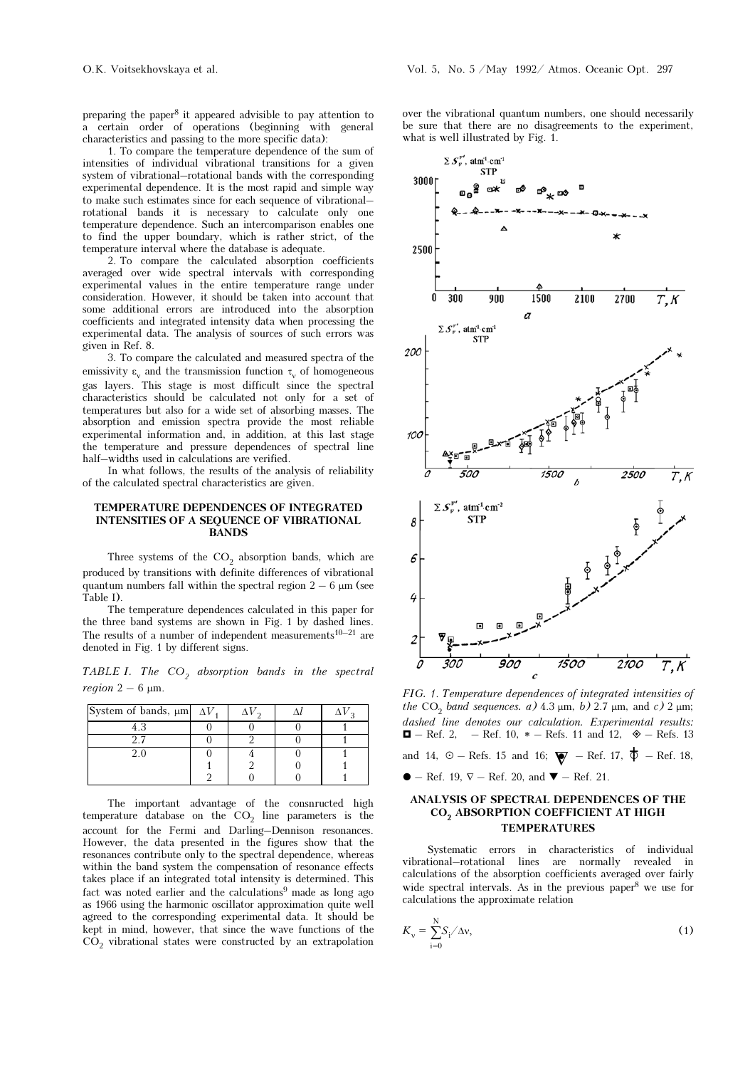preparing the paper8 it appeared advisible to pay attention to a certain order of operations (beginning with general characteristics and passing to the more specific data):

1. To compare the temperature dependence of the sum of intensities of individual vibrational transitions for a given system of vibrational–rotational bands with the corresponding experimental dependence. It is the most rapid and simple way to make such estimates since for each sequence of vibrational– rotational bands it is necessary to calculate only one temperature dependence. Such an intercomparison enables one to find the upper boundary, which is rather strict, of the temperature interval where the database is adequate.

2. To compare the calculated absorption coefficients averaged over wide spectral intervals with corresponding experimental values in the entire temperature range under consideration. However, it should be taken into account that some additional errors are introduced into the absorption coefficients and integrated intensity data when processing the experimental data. The analysis of sources of such errors was given in Ref. 8.

3. To compare the calculated and measured spectra of the emissivity  $\varepsilon_v$  and the transmission function  $\tau_v$  of homogeneous gas layers. This stage is most difficult since the spectral characteristics should be calculated not only for a set of temperatures but also for a wide set of absorbing masses. The absorption and emission spectra provide the most reliable experimental information and, in addition, at this last stage the temperature and pressure dependences of spectral line half–widths used in calculations are verified.

In what follows, the results of the analysis of reliability of the calculated spectral characteristics are given.

#### TEMPERATURE DEPENDENCES OF INTEGRATED INTENSITIES OF A SEQUENCE OF VIBRATIONAL BANDS

Three systems of the  $CO<sub>2</sub>$  absorption bands, which are produced by transitions with definite differences of vibrational quantum numbers fall within the spectral region  $2 - 6 \mu m$  (see Table I).

The temperature dependences calculated in this paper for the three band systems are shown in Fig. 1 by dashed lines. The results of a number of independent measurements<sup>10–21</sup> are denoted in Fig. 1 by different signs.

TABLE I. The  $CO<sub>2</sub>$  absorption bands in the spectral *region*  $2 - 6 \mu m$ .

| System of bands, $\mu$ m $\Delta V$ , |  |  |
|---------------------------------------|--|--|
|                                       |  |  |
|                                       |  |  |
|                                       |  |  |
|                                       |  |  |
|                                       |  |  |

The important advantage of the consnructed high temperature database on the  $CO<sub>2</sub>$  line parameters is the account for the Fermi and Darling–Dennison resonances. However, the data presented in the figures show that the resonances contribute only to the spectral dependence, whereas within the band system the compensation of resonance effects takes place if an integrated total intensity is determined. This fact was noted earlier and the calculations<sup>9</sup> made as long ago as 1966 using the harmonic oscillator approximation quite well agreed to the corresponding experimental data. It should be kept in mind, however, that since the wave functions of the  $CO<sub>2</sub>$  vibrational states were constructed by an extrapolation

over the vibrational quantum numbers, one should necessarily be sure that there are no disagreements to the experiment, what is well illustrated by Fig. 1.



FIG. 1. Temperature dependences of integrated intensities of the CO<sub>2</sub> band sequences. a)  $4.3 \mu m$ , b)  $2.7 \mu m$ , and c)  $2 \mu m$ ; dashed line denotes our calculation. Experimental results:  $\blacksquare - \text{Ref. 2}$ – Ref. 10,  $*$  – Refs. 11 and 12,  $\diamond$  – Refs. 13

and 14,  $\odot$  – Refs. 15 and 16;  $\blacktriangledown$  – Ref. 17,  $\blacklozenge$  – Ref. 18,

 $\bullet$  – Ref. 19,  $\nabla$  – Ref. 20, and  $\nabla$  – Ref. 21.

## ANALYSIS OF SPECTRAL DEPENDENCES OF THE CO<sub>2</sub> ABSORPTION COEFFICIENT AT HIGH TEMPERATURES

Systematic errors in characteristics of individual vibrational–rotational lines are normally revealed in calculations of the absorption coefficients averaged over fairly wide spectral intervals. As in the previous paper<sup>8</sup> we use for calculations the approximate relation

$$
K_{\mathbf{v}} = \sum_{\mathbf{i}=0}^{\mathbf{N}} S_{\mathbf{i}} / \Delta \mathbf{v},\tag{1}
$$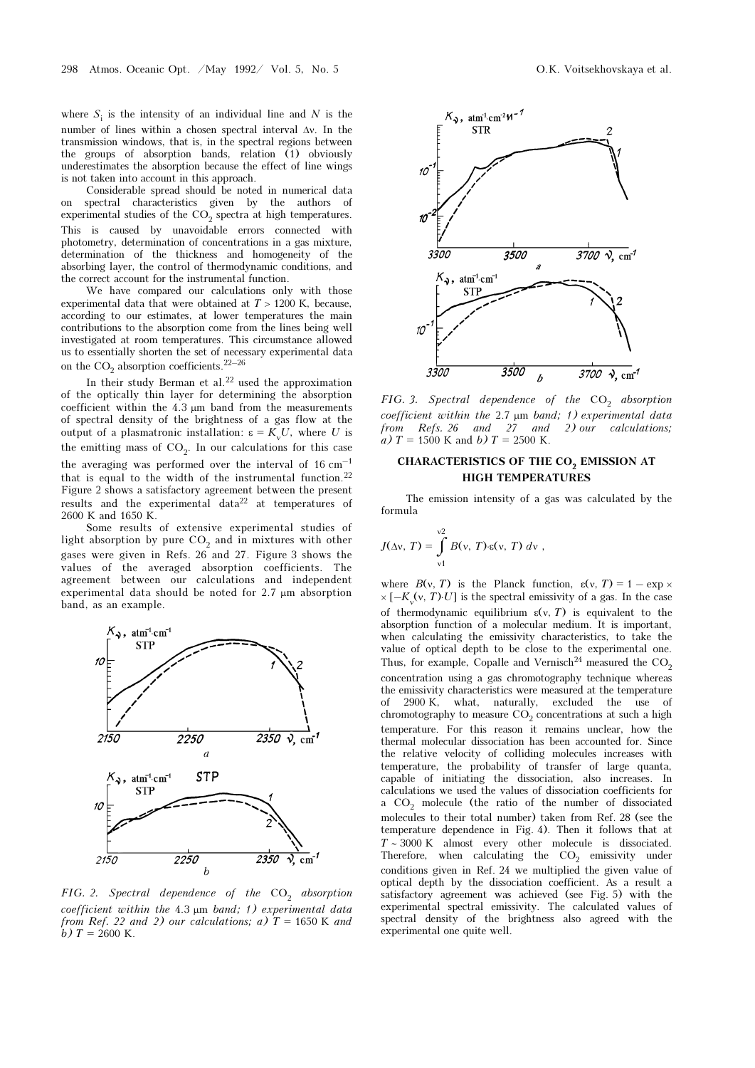where  $S_i$  is the intensity of an individual line and N is the number of lines within a chosen spectral interval Δν. In the transmission windows, that is, in the spectral regions between the groups of absorption bands, relation  $(1)$  obviously underestimates the absorption because the effect of line wings is not taken into account in this approach.

Considerable spread should be noted in numerical data on spectral characteristics given by the authors of experimental studies of the  $\mathrm{CO}_2$  spectra at high temperatures. This is caused by unavoidable errors connected with photometry, determination of concentrations in a gas mixture, determination of the thickness and homogeneity of the absorbing layer, the control of thermodynamic conditions, and the correct account for the instrumental function.

We have compared our calculations only with those experimental data that were obtained at  $T > 1200$  K, because, according to our estimates, at lower temperatures the main contributions to the absorption come from the lines being well investigated at room temperatures. This circumstance allowed us to essentially shorten the set of necessary experimental data on the  $\mathrm{CO}_2$  absorption coefficients.  $^{22-26}$ 

In their study Berman et al. $^{22}$  used the approximation of the optically thin layer for determining the absorption coefficient within the 4.3 μm band from the measurements of spectral density of the brightness of a gas flow at the output of a plasmatronic installation:  $ε = K_y U$ , where U is the emitting mass of  $CO<sub>2</sub>$ . In our calculations for this case the averaging was performed over the interval of 16 cm–1 that is equal to the width of the instrumental function.<sup>22</sup> Figure 2 shows a satisfactory agreement between the present results and the experimental data22 at temperatures of 2600 K and 1650 K.

Some results of extensive experimental studies of light absorption by pure  $CO<sub>2</sub>$  and in mixtures with other gases were given in Refs. 26 and 27. Figure 3 shows the values of the averaged absorption coefficients. The agreement between our calculations and independent experimental data should be noted for 2.7 μm absorption band, as an example.



FIG. 2. Spectral dependence of the  $CO<sub>2</sub>$  absorption coefficient within the 4.3 μm band; 1) experimental data from Ref. 22 and 2) our calculations; a)  $T = 1650$  K and b)  $T = 2600$  K.



FIG. 3. Spectral dependence of the  $CO<sub>2</sub>$  absorption coefficient within the 2.7  $\mu$ m band; 1) experimental data<br>from Refs. 26 and 27 and 2) our calculations; from Refs. 26 and  $27$  and a)  $T = 1500$  K and b)  $T = 2500$  K.

## CHARACTERISTICS OF THE CO<sub>2</sub> EMISSION AT HIGH TEMPERATURES

The emission intensity of a gas was calculated by the formula

$$
J(\Delta v, T) = \int_{v1}^{v2} B(v, T) \cdot \varepsilon(v, T) dv,
$$

where  $B(y, T)$  is the Planck function,  $\varepsilon(y, T) = 1 - \exp x$  $\times$  [– $K_v(v, T)$ ·*U*] is the spectral emissivity of a gas. In the case of thermodynamic equilibrium  $\varepsilon(y, T)$  is equivalent to the absorption function of a molecular medium. It is important, when calculating the emissivity characteristics, to take the value of optical depth to be close to the experimental one. Thus, for example, Copalle and Vernisch<sup>24</sup> measured the  $CO<sub>2</sub>$ concentration using a gas chromotography technique whereas the emissivity characteristics were measured at the temperature of 2900 K, what, naturally, excluded the use of chromotography to measure  $CO<sub>2</sub>$  concentrations at such a high temperature. For this reason it remains unclear, how the thermal molecular dissociation has been accounted for. Since the relative velocity of colliding molecules increases with temperature, the probability of transfer of large quanta, capable of initiating the dissociation, also increases. In calculations we used the values of dissociation coefficients for a  $CO<sub>2</sub>$  molecule (the ratio of the number of dissociated molecules to their total number) taken from Ref. 28 (see the temperature dependence in Fig. 4). Then it follows that at T ∼ 3000 K almost every other molecule is dissociated. Therefore, when calculating the  $CO<sub>2</sub>$  emissivity under conditions given in Ref. 24 we multiplied the given value of optical depth by the dissociation coefficient. As a result a satisfactory agreement was achieved (see Fig. 5) with the experimental spectral emissivity. The calculated values of spectral density of the brightness also agreed with the experimental one quite well.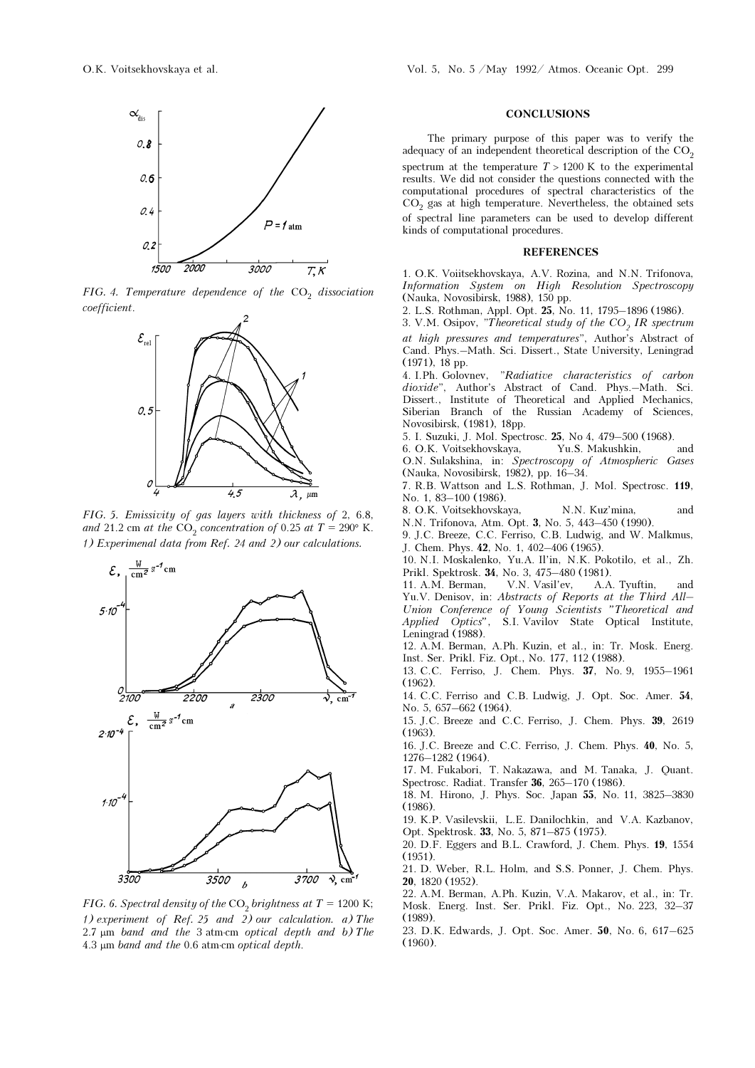

FIG. 4. Temperature dependence of the  $CO<sub>2</sub>$  dissociation coefficient.



FIG. 5. Emissivity of gas layers with thickness of 2, 6.8, and 21.2 cm at the CO<sub>2</sub> concentration of 0.25 at  $T = 290^{\circ}$  K. 1) Experimenal data from Ref. 24 and 2) our calculations.



FIG. 6. Spectral density of the CO<sub>2</sub> brightness at  $T = 1200$  K; 1) experiment of Ref. 25 and 2) our calculation. a) The  $2.7 \mu m$  band and the 3 atm⋅cm optical depth and b) The 4.3 μm band and the 0.6 atm⋅cm optical depth.

#### **CONCLUSIONS**

The primary purpose of this paper was to verify the adequacy of an independent theoretical description of the  $CO<sub>2</sub>$ spectrum at the temperature  $T > 1200$  K to the experimental results. We did not consider the questions connected with the computational procedures of spectral characteristics of the CO<sub>2</sub> gas at high temperature. Nevertheless, the obtained sets of spectral line parameters can be used to develop different kinds of computational procedures.

#### REFERENCES

1. O.K. Voiitsekhovskaya, A.V. Rozina, and N.N. Trifonova, Information System on High Resolution Spectroscopy (Nauka, Novosibirsk, 1988), 150 pp.

2. L.S. Rothman, Appl. Opt. 25, No. 11, 1795–1896 (1986).

3. V.M. Osipov, "Theoretical study of the  $CO<sub>2</sub> IR spectrum$ at high pressures and temperatures", Author's Abstract of Cand. Phys.–Math. Sci. Dissert., State University, Leningrad (1971), 18 pp.

4. I.Ph. Golovnev, "Radiative characteristics of carbon dioxide", Author's Abstract of Cand. Phys.-Math. Sci. Dissert., Institute of Theoretical and Applied Mechanics, Siberian Branch of the Russian Academy of Sciences, Novosibirsk, (1981), 18pp.

5. I. Suzuki, J. Mol. Spectrosc. 25, No 4, 479–500 (1968).

6. O.K. Voitsekhovskaya, Yu.S. Makushkin, and O.N. Sulakshina, in: Spectroscopy of Atmospheric Gases (Nauka, Novosibirsk, 1982), pp. 16–34.

7. R.B. Wattson and L.S. Rothman, J. Mol. Spectrosc. 119, No. 1, 83–100 (1986).

8. O.K. Voitsekhovskaya, N.N. Kuz'mina, and N.N. Trifonova, Atm. Opt. 3, No. 5, 443–450 (1990).

9. J.C. Breeze, C.C. Ferriso, C.B. Ludwig, and W. Malkmus, J. Chem. Phys. 42, No. 1, 402–406 (1965).

10. N.I. Moskalenko, Yu.A. Il'in, N.K. Pokotilo, et al., Zh. Prikl. Spektrosk. 34, No. 3, 475–480 (1981).

11. A.M. Berman, V.N. Vasil'ev, A.A. Tyuftin, and Yu.V. Denisov, in: Abstracts of Reports at the Third All– Union Conference of Young Scientists "Theoretical and Applied Optics", S.I. Vavilov State Optical Institute, Leningrad  $(1988)$ .

12. A.M. Berman, A.Ph. Kuzin, et al., in: Tr. Mosk. Energ. Inst. Ser. Prikl. Fiz. Opt., No. 177, 112 (1988).

13. C.C. Ferriso, J. Chem. Phys. 37, No. 9, 1955–1961 (1962).

14. C.C. Ferriso and C.B. Ludwig, J. Opt. Soc. Amer. 54, No. 5, 657–662 (1964).

15. J.C. Breeze and C.C. Ferriso, J. Chem. Phys. 39, 2619 (1963).

16. J.C. Breeze and C.C. Ferriso, J. Chem. Phys. 40, No. 5, 1276–1282 (1964).

17. M. Fukabori, T. Nakazawa, and M. Tanaka, J. Quant. Spectrosc. Radiat. Transfer 36, 265–170 (1986).

18. M. Hirono, J. Phys. Soc. Japan 55, No. 11, 3825–3830 (1986).

19. K.P. Vasilevskii, L.E. Danilochkin, and V.A. Kazbanov, Opt. Spektrosk. 33, No. 5, 871–875 (1975).

20. D.F. Eggers and B.L. Crawford, J. Chem. Phys. 19, 1554 (1951).

21. D. Weber, R.L. Holm, and S.S. Ponner, J. Chem. Phys. 20, 1820 (1952).

22. A.M. Berman, A.Ph. Kuzin, V.A. Makarov, et al., in: Tr. Mosk. Energ. Inst. Ser. Prikl. Fiz. Opt., No. 223, 32–37 (1989).

23. D.K. Edwards, J. Opt. Soc. Amer. 50, No. 6, 617–625 (1960).